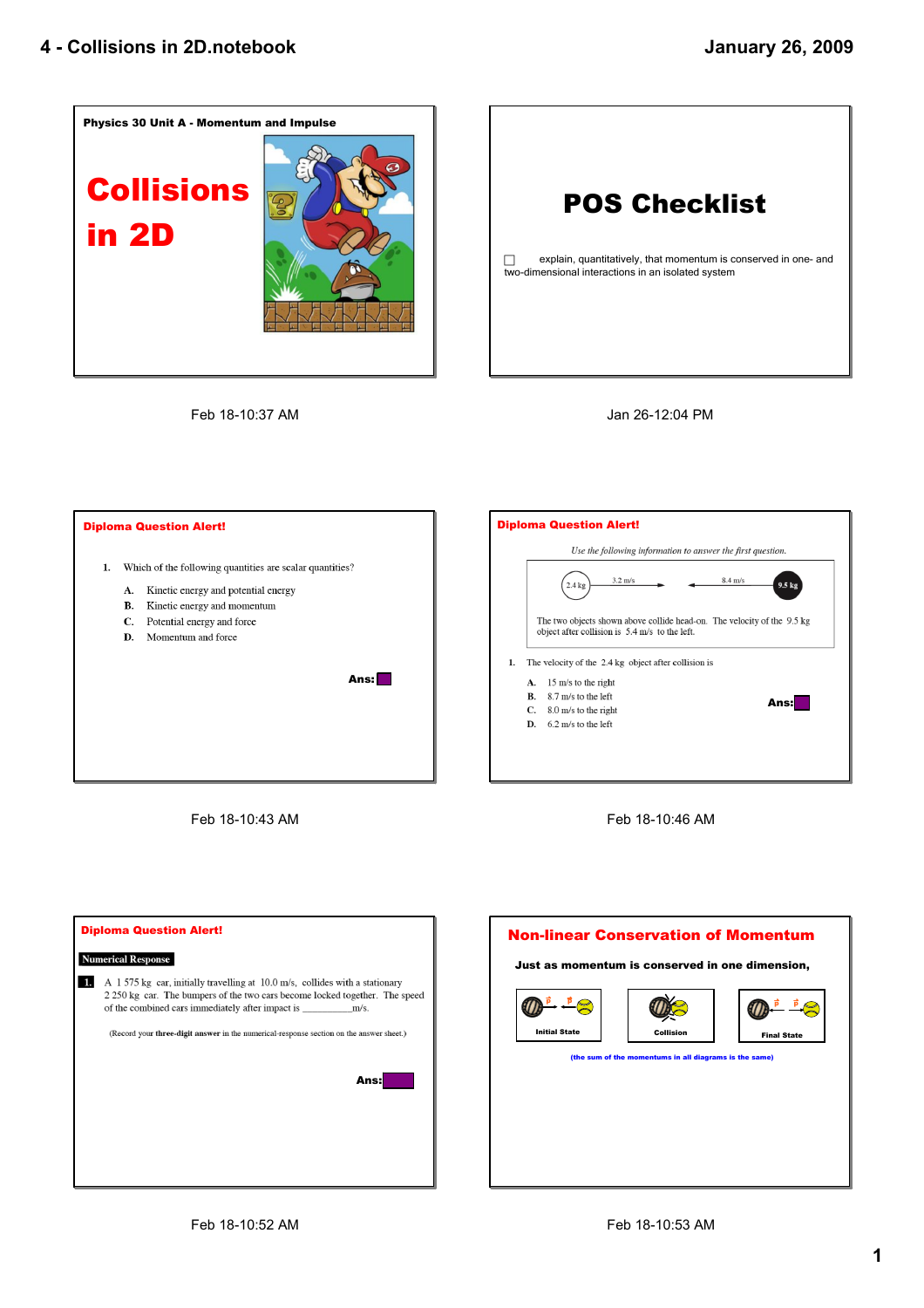

## **POS Checklist**

 $\Box$  explain, quantitatively, that momentum is conserved in one- and two-dimensional interactions in an isolated system

Feb 18-10:37 AM

Jan 26-12:04 PM



Feb 1810:43 AM





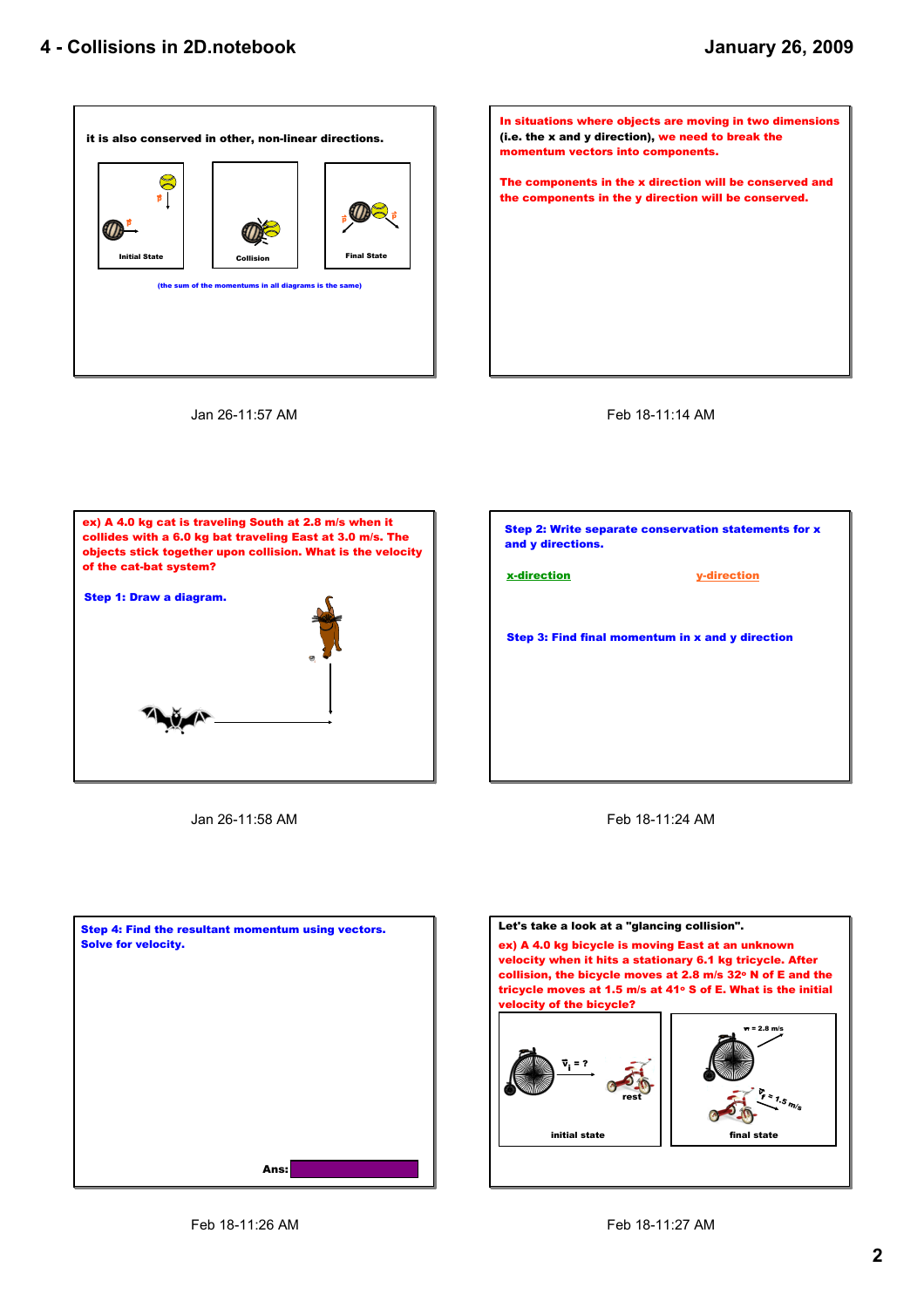









Jan 26-11:58 AM



Feb 18-11:24 AM



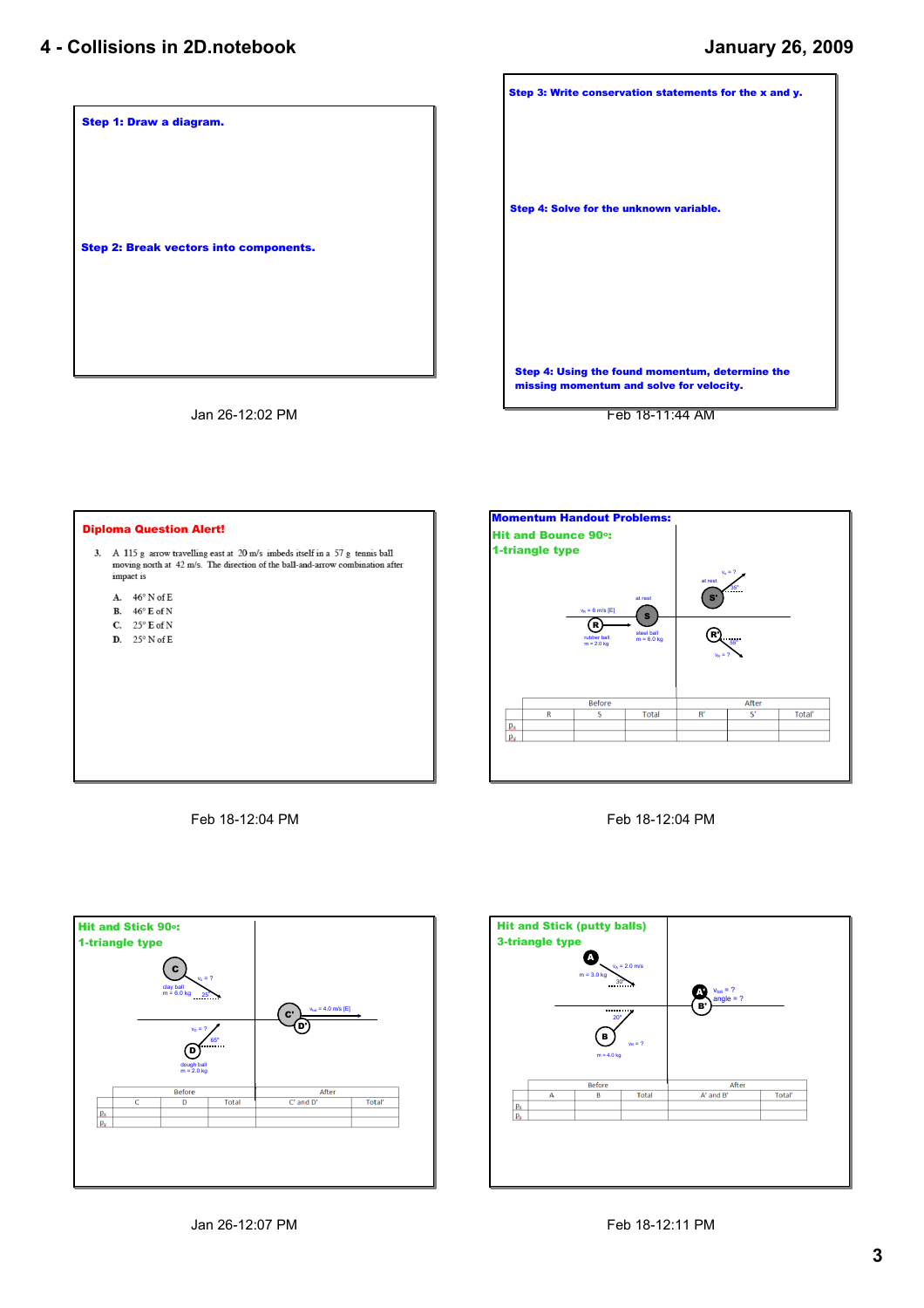## **4 Collisions in 2D.notebook**



Jan 26-12:02 PM

**Step 3: Write conservation statements for the x and y. Step 4: Using the found momentum, determine the missing momentum and solve for velocity. Step 4: Solve for the unknown variable.**

Feb 1811:44 AM



Feb 18-12:04 PM



Feb 18-12:04 PM